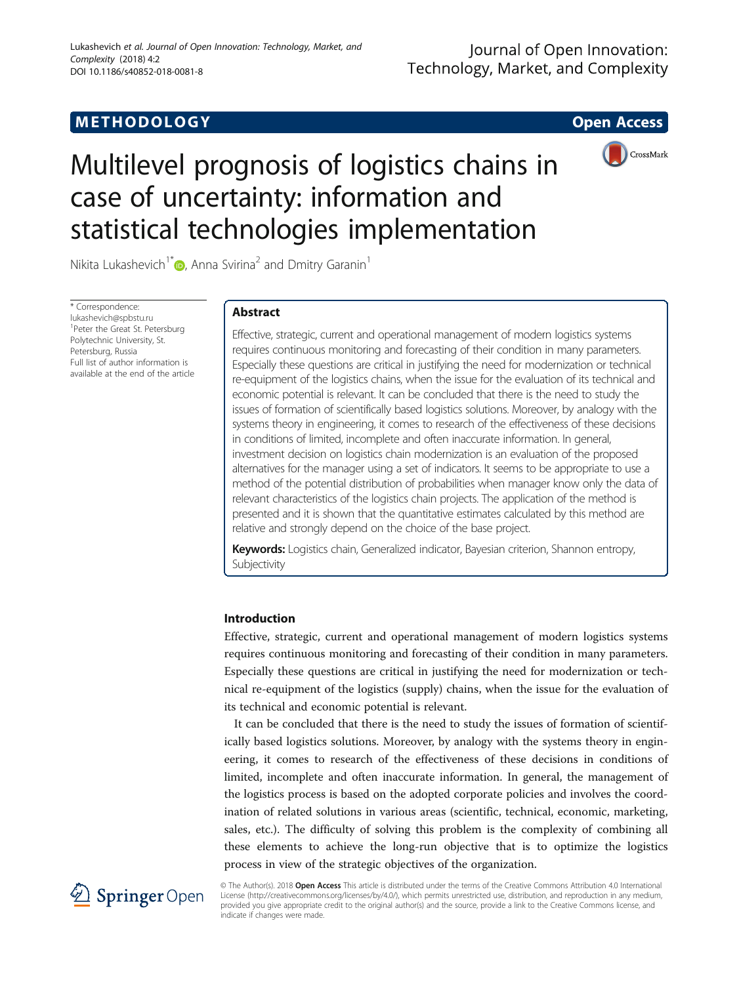# **METHODOLOGY CONSUMING ACCESS**



# Multilevel prognosis of logistics chains in case of uncertainty: information and statistical technologies implementation

Nikita Lukashevich<sup>1[\\*](http://orcid.org/0000-0001-5719-4844)</sup> $\bullet$ , Anna Svirina<sup>2</sup> and Dmitry Garanin<sup>1</sup>

\* Correspondence: [lukashevich@spbstu.ru](mailto:lukashevich@spbstu.ru) <sup>1</sup> Peter the Great St. Petersburg Polytechnic University, St. Petersburg, Russia Full list of author information is available at the end of the article

# Abstract

Effective, strategic, current and operational management of modern logistics systems requires continuous monitoring and forecasting of their condition in many parameters. Especially these questions are critical in justifying the need for modernization or technical re-equipment of the logistics chains, when the issue for the evaluation of its technical and economic potential is relevant. It can be concluded that there is the need to study the issues of formation of scientifically based logistics solutions. Moreover, by analogy with the systems theory in engineering, it comes to research of the effectiveness of these decisions in conditions of limited, incomplete and often inaccurate information. In general, investment decision on logistics chain modernization is an evaluation of the proposed alternatives for the manager using a set of indicators. It seems to be appropriate to use a method of the potential distribution of probabilities when manager know only the data of relevant characteristics of the logistics chain projects. The application of the method is presented and it is shown that the quantitative estimates calculated by this method are relative and strongly depend on the choice of the base project.

Keywords: Logistics chain, Generalized indicator, Bayesian criterion, Shannon entropy, Subjectivity

# Introduction

Effective, strategic, current and operational management of modern logistics systems requires continuous monitoring and forecasting of their condition in many parameters. Especially these questions are critical in justifying the need for modernization or technical re-equipment of the logistics (supply) chains, when the issue for the evaluation of its technical and economic potential is relevant.

It can be concluded that there is the need to study the issues of formation of scientifically based logistics solutions. Moreover, by analogy with the systems theory in engineering, it comes to research of the effectiveness of these decisions in conditions of limited, incomplete and often inaccurate information. In general, the management of the logistics process is based on the adopted corporate policies and involves the coordination of related solutions in various areas (scientific, technical, economic, marketing, sales, etc.). The difficulty of solving this problem is the complexity of combining all these elements to achieve the long-run objective that is to optimize the logistics process in view of the strategic objectives of the organization.



© The Author(s). 2018 Open Access This article is distributed under the terms of the Creative Commons Attribution 4.0 International License [\(http://creativecommons.org/licenses/by/4.0/](http://creativecommons.org/licenses/by/4.0/)), which permits unrestricted use, distribution, and reproduction in any medium, provided you give appropriate credit to the original author(s) and the source, provide a link to the Creative Commons license, and indicate if changes were made.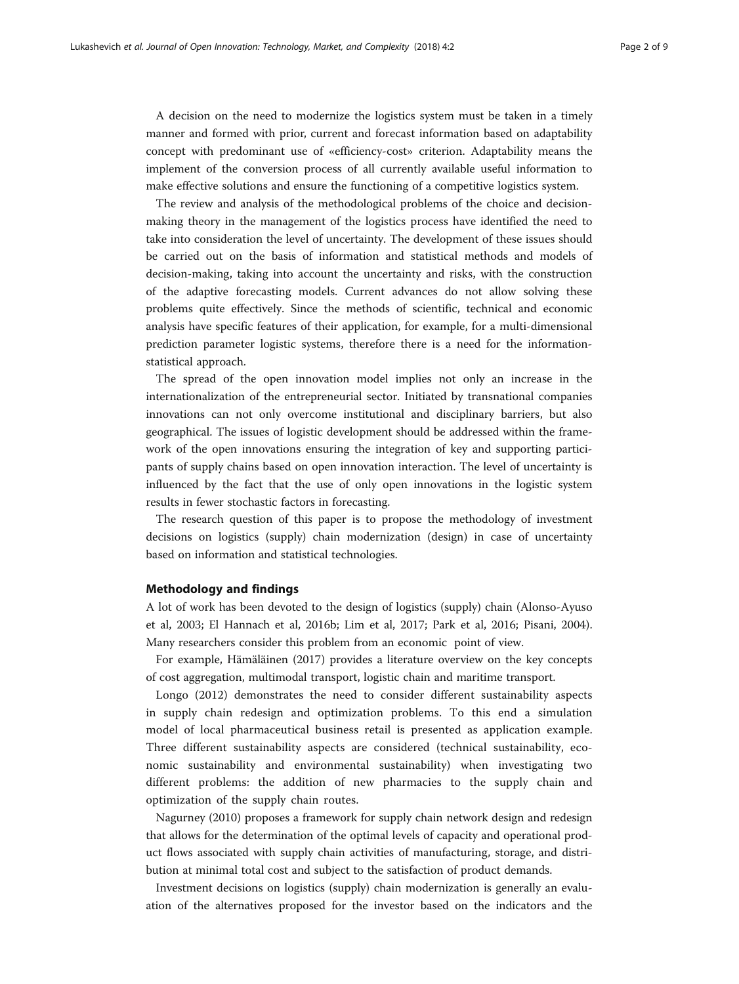A decision on the need to modernize the logistics system must be taken in a timely manner and formed with prior, current and forecast information based on adaptability concept with predominant use of «efficiency-cost» criterion. Adaptability means the implement of the conversion process of all currently available useful information to make effective solutions and ensure the functioning of a competitive logistics system.

The review and analysis of the methodological problems of the choice and decisionmaking theory in the management of the logistics process have identified the need to take into consideration the level of uncertainty. The development of these issues should be carried out on the basis of information and statistical methods and models of decision-making, taking into account the uncertainty and risks, with the construction of the adaptive forecasting models. Current advances do not allow solving these problems quite effectively. Since the methods of scientific, technical and economic analysis have specific features of their application, for example, for a multi-dimensional prediction parameter logistic systems, therefore there is a need for the informationstatistical approach.

The spread of the open innovation model implies not only an increase in the internationalization of the entrepreneurial sector. Initiated by transnational companies innovations can not only overcome institutional and disciplinary barriers, but also geographical. The issues of logistic development should be addressed within the framework of the open innovations ensuring the integration of key and supporting participants of supply chains based on open innovation interaction. The level of uncertainty is influenced by the fact that the use of only open innovations in the logistic system results in fewer stochastic factors in forecasting.

The research question of this paper is to propose the methodology of investment decisions on logistics (supply) chain modernization (design) in case of uncertainty based on information and statistical technologies.

#### Methodology and findings

A lot of work has been devoted to the design of logistics (supply) chain (Alonso-Ayuso et al, [2003](#page-8-0); El Hannach et al, [2016b](#page-8-0); Lim et al, [2017](#page-8-0); Park et al, [2016;](#page-8-0) Pisani, [2004](#page-8-0)). Many researchers consider this problem from an economic point of view.

For example, Hämäläinen [\(2017\)](#page-8-0) provides a literature overview on the key concepts of cost aggregation, multimodal transport, logistic chain and maritime transport.

Longo [\(2012](#page-8-0)) demonstrates the need to consider different sustainability aspects in supply chain redesign and optimization problems. To this end a simulation model of local pharmaceutical business retail is presented as application example. Three different sustainability aspects are considered (technical sustainability, economic sustainability and environmental sustainability) when investigating two different problems: the addition of new pharmacies to the supply chain and optimization of the supply chain routes.

Nagurney ([2010](#page-8-0)) proposes a framework for supply chain network design and redesign that allows for the determination of the optimal levels of capacity and operational product flows associated with supply chain activities of manufacturing, storage, and distribution at minimal total cost and subject to the satisfaction of product demands.

Investment decisions on logistics (supply) chain modernization is generally an evaluation of the alternatives proposed for the investor based on the indicators and the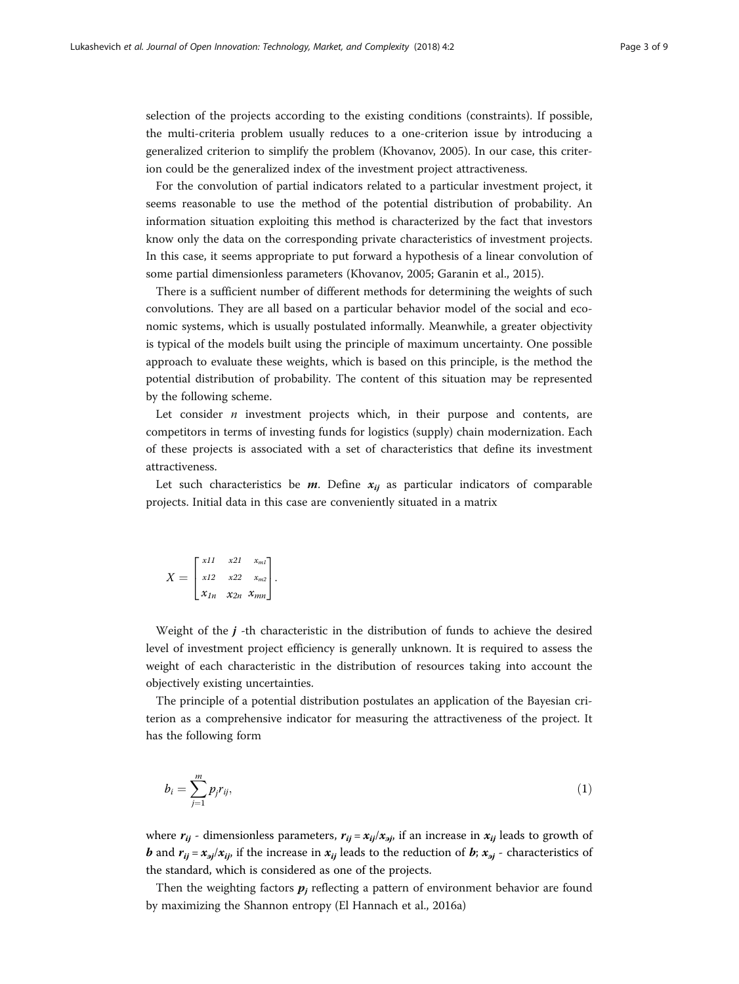<span id="page-2-0"></span>selection of the projects according to the existing conditions (constraints). If possible, the multi-criteria problem usually reduces to a one-criterion issue by introducing a generalized criterion to simplify the problem (Khovanov, [2005](#page-8-0)). In our case, this criterion could be the generalized index of the investment project attractiveness.

For the convolution of partial indicators related to a particular investment project, it seems reasonable to use the method of the potential distribution of probability. An information situation exploiting this method is characterized by the fact that investors know only the data on the corresponding private characteristics of investment projects. In this case, it seems appropriate to put forward a hypothesis of a linear convolution of some partial dimensionless parameters (Khovanov, [2005;](#page-8-0) Garanin et al., [2015](#page-8-0)).

There is a sufficient number of different methods for determining the weights of such convolutions. They are all based on a particular behavior model of the social and economic systems, which is usually postulated informally. Meanwhile, a greater objectivity is typical of the models built using the principle of maximum uncertainty. One possible approach to evaluate these weights, which is based on this principle, is the method the potential distribution of probability. The content of this situation may be represented by the following scheme.

Let consider  $n$  investment projects which, in their purpose and contents, are competitors in terms of investing funds for logistics (supply) chain modernization. Each of these projects is associated with a set of characteristics that define its investment attractiveness.

Let such characteristics be  $m$ . Define  $x_{ij}$  as particular indicators of comparable projects. Initial data in this case are conveniently situated in a matrix

$$
X = \begin{bmatrix} x11 & x21 & x_{m1} \\ x12 & x22 & x_{m2} \\ x_{1n} & x_{2n} & x_{mn} \end{bmatrix}.
$$

Weight of the  $j$ -th characteristic in the distribution of funds to achieve the desired level of investment project efficiency is generally unknown. It is required to assess the weight of each characteristic in the distribution of resources taking into account the objectively existing uncertainties.

The principle of a potential distribution postulates an application of the Bayesian criterion as a comprehensive indicator for measuring the attractiveness of the project. It has the following form

$$
b_i = \sum_{j=1}^m p_j r_{ij},\tag{1}
$$

where  $r_{ij}$  - dimensionless parameters,  $r_{ij} = x_{ij}/x_{ij}$  if an increase in  $x_{ij}$  leads to growth of *b* and  $r_{ij} = x_{ij}/x_{ij}$ , if the increase in  $x_{ij}$  leads to the reduction of *b*;  $x_{ij}$  - characteristics of the standard, which is considered as one of the projects.

Then the weighting factors  $p_i$  reflecting a pattern of environment behavior are found by maximizing the Shannon entropy (El Hannach et al., [2016a\)](#page-8-0)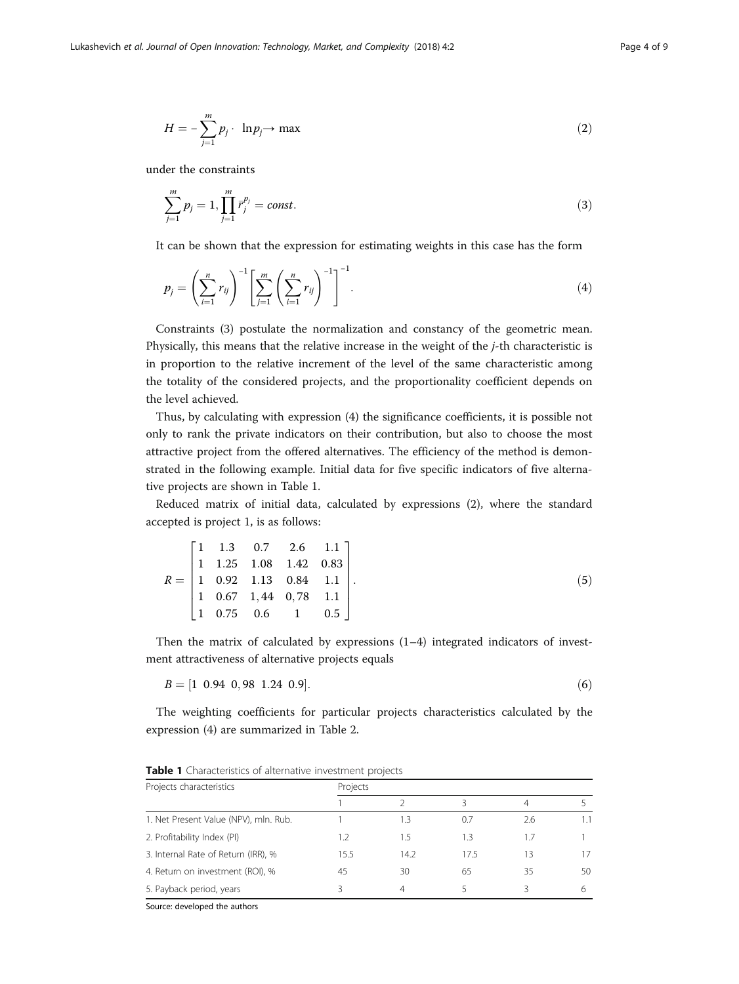<span id="page-3-0"></span>
$$
H = -\sum_{j=1}^{m} p_j \cdot \ln p_j \to \max \tag{2}
$$

under the constraints

$$
\sum_{j=1}^{m} p_j = 1, \prod_{j=1}^{m} \bar{r}_j^{p_j} = const.
$$
\n(3)

It can be shown that the expression for estimating weights in this case has the form

$$
p_j = \left(\sum_{i=1}^n r_{ij}\right)^{-1} \left[\sum_{j=1}^m \left(\sum_{i=1}^n r_{ij}\right)^{-1}\right]^{-1}.
$$
 (4)

Constraints (3) postulate the normalization and constancy of the geometric mean. Physically, this means that the relative increase in the weight of the j-th characteristic is in proportion to the relative increment of the level of the same characteristic among the totality of the considered projects, and the proportionality coefficient depends on the level achieved.

Thus, by calculating with expression (4) the significance coefficients, it is possible not only to rank the private indicators on their contribution, but also to choose the most attractive project from the offered alternatives. The efficiency of the method is demonstrated in the following example. Initial data for five specific indicators of five alternative projects are shown in Table 1.

Reduced matrix of initial data, calculated by expressions (2), where the standard accepted is project 1, is as follows:

$$
R = \begin{bmatrix} 1 & 1.3 & 0.7 & 2.6 & 1.1 \\ 1 & 1.25 & 1.08 & 1.42 & 0.83 \\ 1 & 0.92 & 1.13 & 0.84 & 1.1 \\ 1 & 0.67 & 1.44 & 0.78 & 1.1 \\ 1 & 0.75 & 0.6 & 1 & 0.5 \end{bmatrix} .
$$
 (5)

Then the matrix of calculated by expressions  $(1-4)$  integrated indicators of investment attractiveness of alternative projects equals

$$
B = [1 \t0.94 \t0.98 \t1.24 \t0.9]. \t(6)
$$

The weighting coefficients for particular projects characteristics calculated by the expression (4) are summarized in Table [2](#page-4-0).

| Projects characteristics              | Projects |      |      |     |     |  |  |
|---------------------------------------|----------|------|------|-----|-----|--|--|
|                                       |          |      |      | 4   |     |  |  |
| 1. Net Present Value (NPV), mln. Rub. |          | 1.3  | 0.7  | 2.6 | 1.1 |  |  |
| 2. Profitability Index (PI)           | 1.2      | 1.5  | 1.3  | 1.7 |     |  |  |
| 3. Internal Rate of Return (IRR), %   | 15.5     | 14.2 | 17.5 | 13  | 17  |  |  |
| 4. Return on investment (ROI), %      | 45       | 30   | 65   | 35  | 50  |  |  |
| 5. Payback period, years              | ζ        | 4    |      | ੨   | h   |  |  |

Table 1 Characteristics of alternative investment projects

Source: developed the authors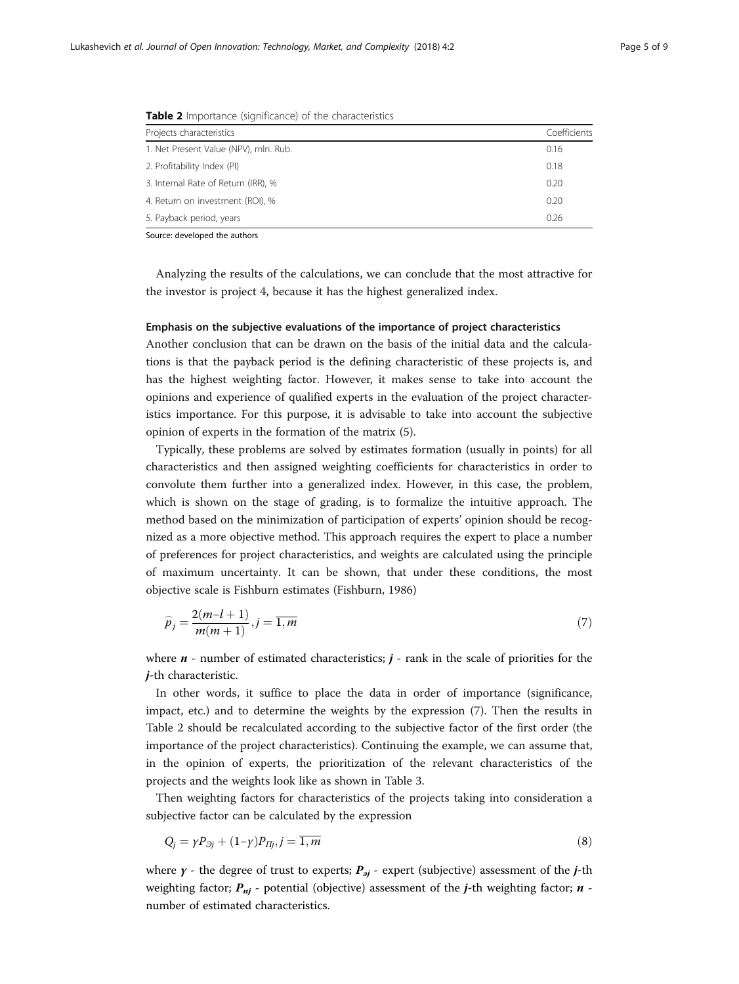| <b>CONFIDENTIAL AND INTERNATIONAL CONTRACTED ASSESS</b> |              |  |  |  |
|---------------------------------------------------------|--------------|--|--|--|
| Projects characteristics                                | Coefficients |  |  |  |
| 1. Net Present Value (NPV), mln. Rub.                   | 0.16         |  |  |  |
| 2. Profitability Index (PI)                             | 0.18         |  |  |  |
| 3. Internal Rate of Return (IRR), %                     | 0.20         |  |  |  |
| 4. Return on investment (ROI), %                        | 0.20         |  |  |  |
| 5. Payback period, years                                | 0.26         |  |  |  |

<span id="page-4-0"></span>**Table 2** Importance (significance) of the characteristics

Analyzing the results of the calculations, we can conclude that the most attractive for the investor is project 4, because it has the highest generalized index.

### Emphasis on the subjective evaluations of the importance of project characteristics

Another conclusion that can be drawn on the basis of the initial data and the calculations is that the payback period is the defining characteristic of these projects is, and has the highest weighting factor. However, it makes sense to take into account the opinions and experience of qualified experts in the evaluation of the project characteristics importance. For this purpose, it is advisable to take into account the subjective opinion of experts in the formation of the matrix (5).

Typically, these problems are solved by estimates formation (usually in points) for all characteristics and then assigned weighting coefficients for characteristics in order to convolute them further into a generalized index. However, in this case, the problem, which is shown on the stage of grading, is to formalize the intuitive approach. The method based on the minimization of participation of experts' opinion should be recognized as a more objective method. This approach requires the expert to place a number of preferences for project characteristics, and weights are calculated using the principle of maximum uncertainty. It can be shown, that under these conditions, the most objective scale is Fishburn estimates (Fishburn, [1986\)](#page-8-0)

$$
\widehat{p}_j = \frac{2(m-l+1)}{m(m+1)}, j = \overline{1,m} \tag{7}
$$

where  $n$  - number of estimated characteristics;  $j$  - rank in the scale of priorities for the *i*-th characteristic.

In other words, it suffice to place the data in order of importance (significance, impact, etc.) and to determine the weights by the expression (7). Then the results in Table 2 should be recalculated according to the subjective factor of the first order (the importance of the project characteristics). Continuing the example, we can assume that, in the opinion of experts, the prioritization of the relevant characteristics of the projects and the weights look like as shown in Table [3](#page-5-0).

Then weighting factors for characteristics of the projects taking into consideration a subjective factor can be calculated by the expression

$$
Q_j = \gamma P_{\beta j} + (1 - \gamma) P_{\Pi j}, j = \overline{1, m} \tag{8}
$$

where  $\gamma$  - the degree of trust to experts;  $P_{\text{sj}}$  - expert (subjective) assessment of the *j*-th weighting factor;  $P_{nj}$  - potential (objective) assessment of the *j*-th weighting factor; *n* number of estimated characteristics.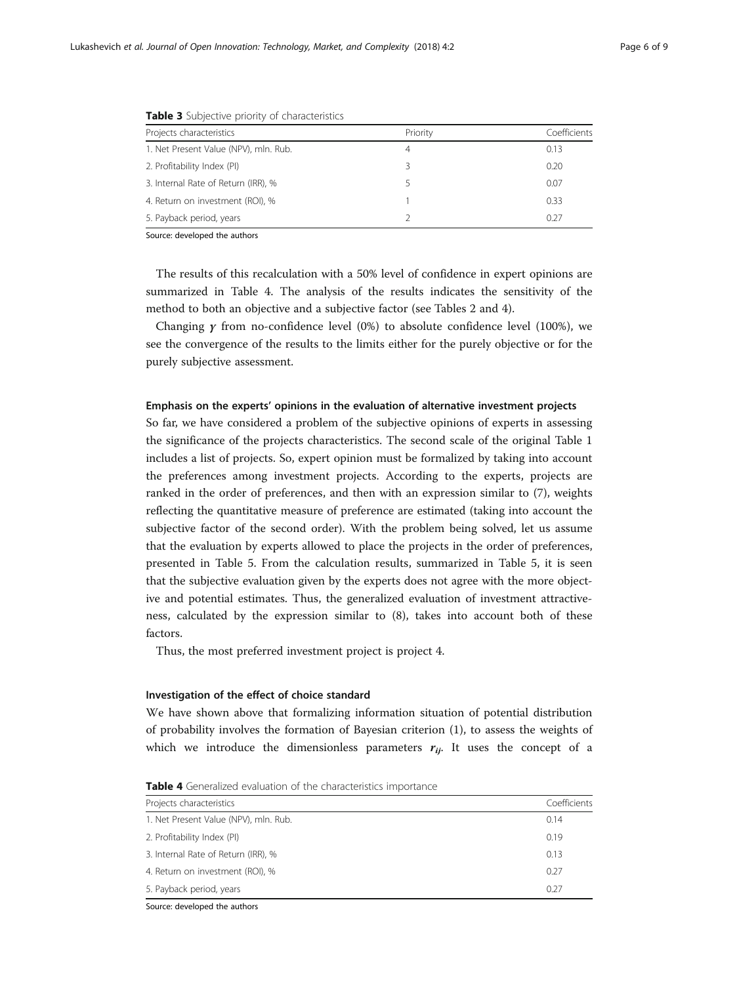<span id="page-5-0"></span>

| Projects characteristics              | Priority | Coefficients |
|---------------------------------------|----------|--------------|
| 1. Net Present Value (NPV), mln. Rub. | 4        | 0.13         |
| 2. Profitability Index (PI)           | 3        | 0.20         |
| 3. Internal Rate of Return (IRR), %   |          | 0.07         |
| 4. Return on investment (ROI), %      |          | 0.33         |
| 5. Payback period, years              |          | 0.27         |

Table 3 Subjective priority of characteristics

The results of this recalculation with a 50% level of confidence in expert opinions are summarized in Table 4. The analysis of the results indicates the sensitivity of the method to both an objective and a subjective factor (see Tables [2](#page-4-0) and 4).

Changing  $y$  from no-confidence level (0%) to absolute confidence level (100%), we see the convergence of the results to the limits either for the purely objective or for the purely subjective assessment.

#### Emphasis on the experts' opinions in the evaluation of alternative investment projects

So far, we have considered a problem of the subjective opinions of experts in assessing the significance of the projects characteristics. The second scale of the original Table [1](#page-3-0) includes a list of projects. So, expert opinion must be formalized by taking into account the preferences among investment projects. According to the experts, projects are ranked in the order of preferences, and then with an expression similar to (7), weights reflecting the quantitative measure of preference are estimated (taking into account the subjective factor of the second order). With the problem being solved, let us assume that the evaluation by experts allowed to place the projects in the order of preferences, presented in Table [5.](#page-6-0) From the calculation results, summarized in Table [5](#page-6-0), it is seen that the subjective evaluation given by the experts does not agree with the more objective and potential estimates. Thus, the generalized evaluation of investment attractiveness, calculated by the expression similar to (8), takes into account both of these factors.

Thus, the most preferred investment project is project 4.

#### Investigation of the effect of choice standard

We have shown above that formalizing information situation of potential distribution of probability involves the formation of Bayesian criterion (1), to assess the weights of which we introduce the dimensionless parameters  $r_{ii}$ . It uses the concept of a

Table 4 Generalized evaluation of the characteristics importance

| Projects characteristics              | Coefficients |
|---------------------------------------|--------------|
| 1. Net Present Value (NPV), mln. Rub. | 0.14         |
| 2. Profitability Index (PI)           | 0.19         |
| 3. Internal Rate of Return (IRR), %   | 0.13         |
| 4. Return on investment (ROI), %      | 0.27         |
| 5. Payback period, years              | 0.27         |

Source: developed the authors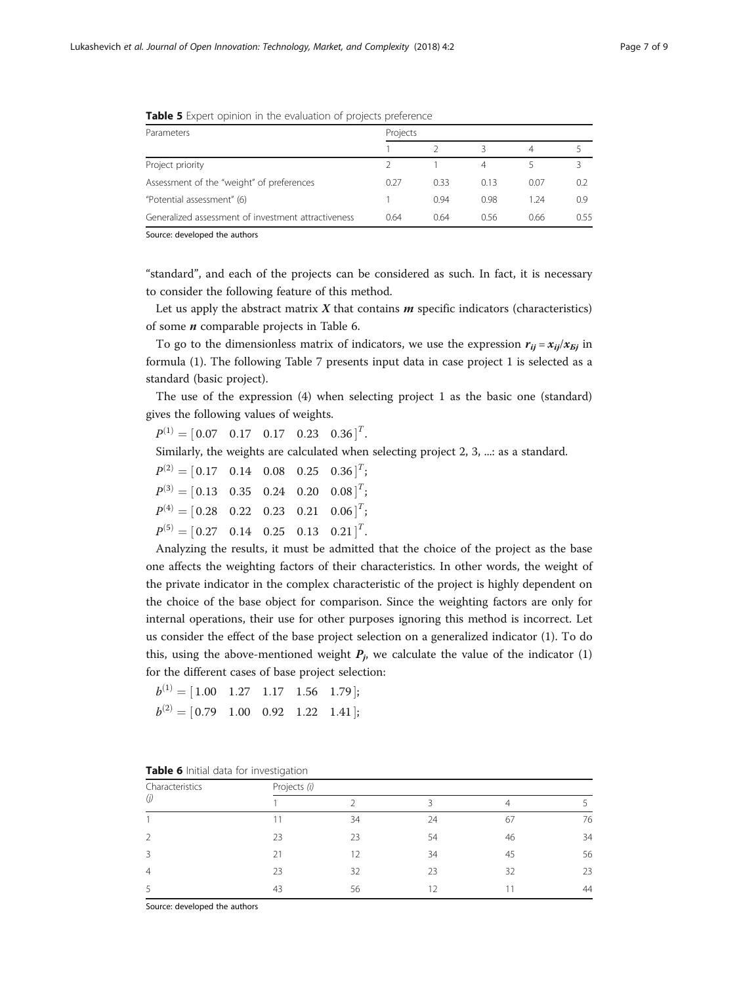| Parameters                                          | Projects |      |      |      |               |
|-----------------------------------------------------|----------|------|------|------|---------------|
|                                                     |          |      |      | 4    |               |
| Project priority                                    |          |      | 4    |      |               |
| Assessment of the "weight" of preferences           | 0.27     | 0.33 | 0.13 | 0.07 | $0.2^{\circ}$ |
| "Potential assessment" (6)                          |          | 0.94 | 0.98 | 1.24 | 0.9           |
| Generalized assessment of investment attractiveness | 0.64     | 0.64 | 0.56 | 0.66 | 0.55          |

<span id="page-6-0"></span>**Table 5** Expert opinion in the evaluation of projects preference

"standard", and each of the projects can be considered as such. In fact, it is necessary to consider the following feature of this method.

Let us apply the abstract matrix  $X$  that contains  $m$  specific indicators (characteristics) of some  $n$  comparable projects in Table 6.

To go to the dimensionless matrix of indicators, we use the expression  $r_{ij} = x_{ij}/x_{5j}$  in formula [\(1](#page-2-0)). The following Table [7](#page-7-0) presents input data in case project 1 is selected as a standard (basic project).

The use of the expression [\(4](#page-3-0)) when selecting project 1 as the basic one (standard) gives the following values of weights.

 $P^{(1)} = [0.07 \quad 0.17 \quad 0.17 \quad 0.23 \quad 0.36]^T$ .

Similarly, the weights are calculated when selecting project 2, 3, ...: as a standard.

 $P^{(2)} = [0.17 \quad 0.14 \quad 0.08 \quad 0.25 \quad 0.36]^T;$  $P^{(3)} = [0.13 \quad 0.35 \quad 0.24 \quad 0.20 \quad 0.08]^T;$  $P^{(4)} = [0.28 \quad 0.22 \quad 0.23 \quad 0.21 \quad 0.06]^T;$  $P^{(5)} = [0.27 \quad 0.14 \quad 0.25 \quad 0.13 \quad 0.21]^T$ .

Analyzing the results, it must be admitted that the choice of the project as the base one affects the weighting factors of their characteristics. In other words, the weight of the private indicator in the complex characteristic of the project is highly dependent on the choice of the base object for comparison. Since the weighting factors are only for internal operations, their use for other purposes ignoring this method is incorrect. Let us consider the effect of the base project selection on a generalized indicator (1). To do this, using the above-mentioned weight  $P_j$ , we calculate the value of the indicator (1) for the different cases of base project selection:

| $b^{(1)} = [1.00 \t 1.27 \t 1.17 \t 1.56 \t 1.79];$             |  |  |
|-----------------------------------------------------------------|--|--|
| $b^{(2)} = [0.79 \quad 1.00 \quad 0.92 \quad 1.22 \quad 1.41];$ |  |  |

| Characteristics<br>(j) | Projects (i) |    |    |    |    |  |  |  |
|------------------------|--------------|----|----|----|----|--|--|--|
|                        |              |    | 3  | 4  |    |  |  |  |
|                        | 11           | 34 | 24 | 67 | 76 |  |  |  |
|                        | 23           | 23 | 54 | 46 | 34 |  |  |  |
| 3                      | 21           | 12 | 34 | 45 | 56 |  |  |  |
| $\overline{4}$         | 23           | 32 | 23 | 32 | 23 |  |  |  |
|                        | 43           | 56 |    |    | 44 |  |  |  |
|                        |              |    |    |    |    |  |  |  |

Table 6 Initial data for investigation

Source: developed the authors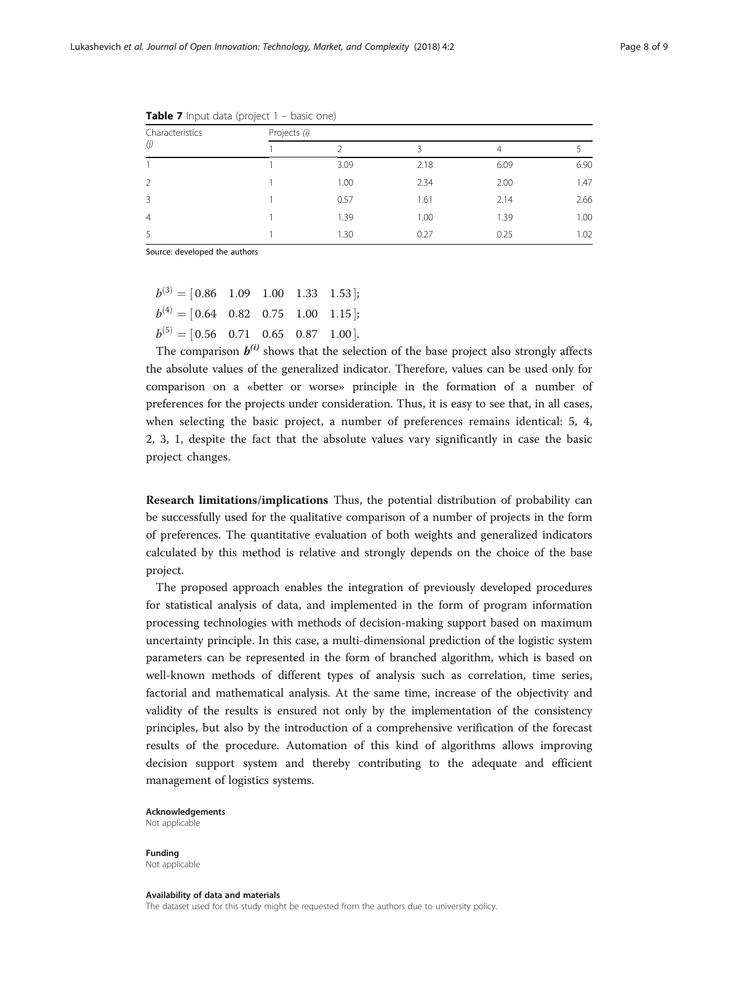| Characteristics<br>(j) | Projects (i) |      |      |      |      |  |
|------------------------|--------------|------|------|------|------|--|
|                        |              |      |      | 4    |      |  |
|                        |              | 3.09 | 2.18 | 6.09 | 6.90 |  |
| V                      |              | 1.00 | 2.34 | 2.00 | 1.47 |  |
| ζ                      |              | 0.57 | 1.61 | 2.14 | 2.66 |  |
| 4                      |              | 1.39 | 1.00 | 1.39 | 1.00 |  |
|                        |              | 1.30 | 0.27 | 0.25 | 1.02 |  |

<span id="page-7-0"></span>**Table 7** Input data (project  $1 -$  basic one)

 $b^{(3)} = \begin{bmatrix} 0.86 & 1.09 & 1.00 & 1.33 & 1.53 \end{bmatrix};$  $b^{(4)} = [0.64 \quad 0.82 \quad 0.75 \quad 1.00 \quad 1.15];$  $b^{(5)} = [0.56 \quad 0.71 \quad 0.65 \quad 0.87 \quad 1.00].$ 

The comparison  $b^{(i)}$  shows that the selection of the base project also strongly affects the absolute values of the generalized indicator. Therefore, values can be used only for comparison on a «better or worse» principle in the formation of a number of preferences for the projects under consideration. Thus, it is easy to see that, in all cases, when selecting the basic project, a number of preferences remains identical: 5, 4, 2, 3, 1, despite the fact that the absolute values vary significantly in case the basic project changes.

Research limitations/implications Thus, the potential distribution of probability can be successfully used for the qualitative comparison of a number of projects in the form of preferences. The quantitative evaluation of both weights and generalized indicators calculated by this method is relative and strongly depends on the choice of the base project.

The proposed approach enables the integration of previously developed procedures for statistical analysis of data, and implemented in the form of program information processing technologies with methods of decision-making support based on maximum uncertainty principle. In this case, a multi-dimensional prediction of the logistic system parameters can be represented in the form of branched algorithm, which is based on well-known methods of different types of analysis such as correlation, time series, factorial and mathematical analysis. At the same time, increase of the objectivity and validity of the results is ensured not only by the implementation of the consistency principles, but also by the introduction of a comprehensive verification of the forecast results of the procedure. Automation of this kind of algorithms allows improving decision support system and thereby contributing to the adequate and efficient management of logistics systems.

Acknowledgements Not applicable

Funding Not applicable

Availability of data and materials

The dataset used for this study might be requested from the authors due to university policy.